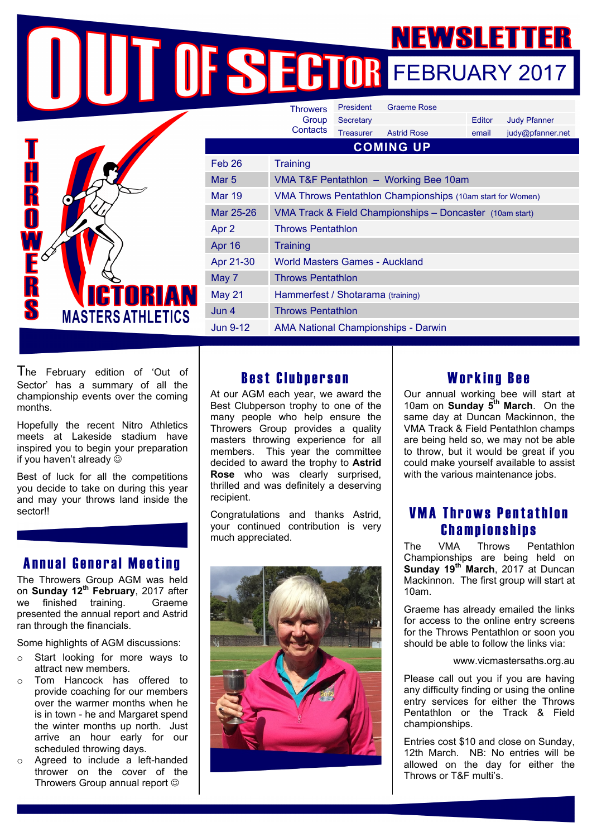FEBRUARY 2017



The February edition of 'Out of Sector' has a summary of all the championship events over the coming months.

Hopefully the recent Nitro Athletics meets at Lakeside stadium have inspired you to begin your preparation if you haven't already  $\odot$ 

Best of luck for all the competitions you decide to take on during this year and may your throws land inside the sector!!

## Annual General Meeting

The Throwers Group AGM was held on **Sunday 12th February**, 2017 after we finished training. Graeme presented the annual report and Astrid ran through the financials.

Some highlights of AGM discussions:

- Start looking for more ways to attract new members.
- o Tom Hancock has offered to provide coaching for our members over the warmer months when he is in town - he and Margaret spend the winter months up north. Just arrive an hour early for our scheduled throwing days.
- o Agreed to include a left-handed thrower on the cover of the Throwers Group annual report  $\odot$

## Best Clubperson

At our AGM each year, we award the Best Clubperson trophy to one of the many people who help ensure the Throwers Group provides a quality masters throwing experience for all members. This year the committee decided to award the trophy to **Astrid Rose** who was clearly surprised, thrilled and was definitely a deserving recipient.

Congratulations and thanks Astrid, your continued contribution is very much appreciated.



## Working Bee

Our annual working bee will start at 10am on **Sunday 5th March**. On the same day at Duncan Mackinnon, the VMA Track & Field Pentathlon champs are being held so, we may not be able to throw, but it would be great if you could make yourself available to assist with the various maintenance jobs.

#### VMA Throws Pentathlon Championships

The VMA Throws Pentathlon Championships are being held on **Sunday 19th March**, 2017 at Duncan Mackinnon. The first group will start at 10am.

Graeme has already emailed the links for access to the online entry screens for the Throws Pentathlon or soon you should be able to follow the links via:

#### www.vicmastersaths.org.au

Please call out you if you are having any difficulty finding or using the online entry services for either the Throws Pentathlon or the Track & Field championships.

Entries cost \$10 and close on Sunday, 12th March. NB: No entries will be allowed on the day for either the Throws or T&F multi's.